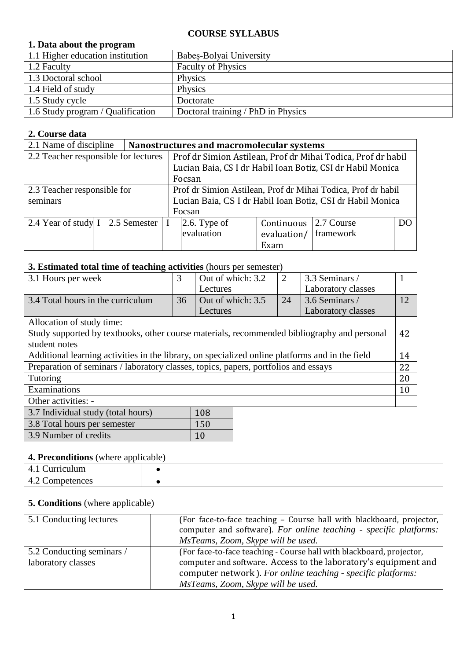#### **COURSE SYLLABUS**

## **1. Data about the program**

| 1.1 Higher education institution  | Babes-Bolyai University            |
|-----------------------------------|------------------------------------|
| 1.2 Faculty                       | <b>Faculty of Physics</b>          |
| 1.3 Doctoral school               | Physics                            |
| 1.4 Field of study                | Physics                            |
| 1.5 Study cycle                   | Doctorate                          |
| 1.6 Study program / Qualification | Doctoral training / PhD in Physics |

## **2. Course data**

| 2.1 Name of discipline               |  |              | Nanostructures and macromolecular systems                  |                                                              |             |            |    |  |
|--------------------------------------|--|--------------|------------------------------------------------------------|--------------------------------------------------------------|-------------|------------|----|--|
| 2.2 Teacher responsible for lectures |  |              |                                                            | Prof dr Simion Astilean, Prof dr Mihai Todica, Prof dr habil |             |            |    |  |
|                                      |  |              | Lucian Baia, CS I dr Habil Ioan Botiz, CSI dr Habil Monica |                                                              |             |            |    |  |
|                                      |  |              |                                                            | Focsan                                                       |             |            |    |  |
| 2.3 Teacher responsible for          |  |              |                                                            | Prof dr Simion Astilean, Prof dr Mihai Todica, Prof dr habil |             |            |    |  |
| seminars                             |  |              |                                                            | Lucian Baia, CS I dr Habil Ioan Botiz, CSI dr Habil Monica   |             |            |    |  |
|                                      |  |              |                                                            | Focsan                                                       |             |            |    |  |
| 2.4 Year of study I                  |  | 2.5 Semester |                                                            | $2.6$ . Type of                                              | Continuous  | 2.7 Course | DO |  |
|                                      |  |              |                                                            | evaluation                                                   | evaluation/ | framework  |    |  |
|                                      |  |              |                                                            |                                                              | Exam        |            |    |  |

## **3. Estimated total time of teaching activities** (hours per semester)

| 3.1 Hours per week                                                                              | 3  | Out of which: 3.2 | $\overline{2}$ | 3.3 Seminars /     |    |
|-------------------------------------------------------------------------------------------------|----|-------------------|----------------|--------------------|----|
|                                                                                                 |    | Lectures          |                | Laboratory classes |    |
| 3.4 Total hours in the curriculum                                                               | 36 | Out of which: 3.5 | 24             | 3.6 Seminars /     | 12 |
|                                                                                                 |    | Lectures          |                | Laboratory classes |    |
| Allocation of study time:                                                                       |    |                   |                |                    |    |
| Study supported by textbooks, other course materials, recommended bibliography and personal     |    |                   |                |                    | 42 |
| student notes                                                                                   |    |                   |                |                    |    |
| Additional learning activities in the library, on specialized online platforms and in the field |    |                   |                |                    |    |
| Preparation of seminars / laboratory classes, topics, papers, portfolios and essays             |    |                   |                |                    | 22 |
| Tutoring                                                                                        |    |                   |                |                    |    |
| Examinations                                                                                    |    |                   |                |                    |    |
| Other activities: -                                                                             |    |                   |                |                    |    |
| 108<br>3.7 Individual study (total hours)                                                       |    |                   |                |                    |    |
| 150<br>3.8 Total hours per semester                                                             |    |                   |                |                    |    |

#### **4. Preconditions** (where applicable)

3.9 Number of credits 10

| la sego   |  |  |  |  |
|-----------|--|--|--|--|
| nces<br>. |  |  |  |  |

## **5. Conditions** (where applicable)

| 5.1 Conducting lectures                         | (For face-to-face teaching – Course hall with blackboard, projector,<br>computer and software). For online teaching - specific platforms:<br>MsTeams, Zoom, Skype will be used.                                                               |
|-------------------------------------------------|-----------------------------------------------------------------------------------------------------------------------------------------------------------------------------------------------------------------------------------------------|
| 5.2 Conducting seminars /<br>laboratory classes | (For face-to-face teaching - Course hall with blackboard, projector,<br>computer and software. Access to the laboratory's equipment and<br>computer network). For online teaching - specific platforms:<br>MsTeams, Zoom, Skype will be used. |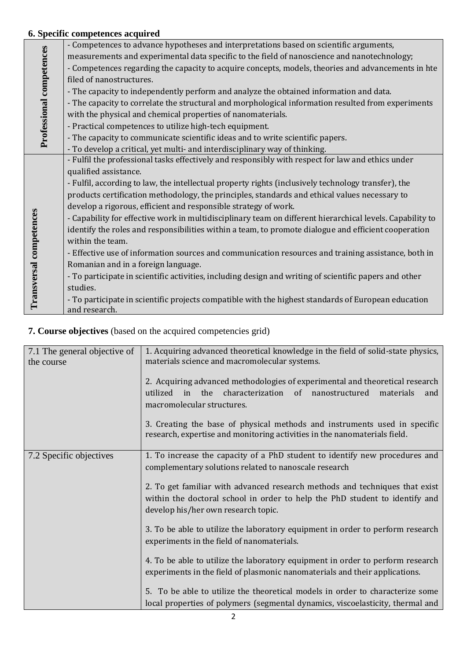## **6. Specific competences acquired**

|                          | - Competences to advance hypotheses and interpretations based on scientific arguments,                    |
|--------------------------|-----------------------------------------------------------------------------------------------------------|
|                          | measurements and experimental data specific to the field of nanoscience and nanotechnology;               |
|                          | - Competences regarding the capacity to acquire concepts, models, theories and advancements in hte        |
|                          | filed of nanostructures.                                                                                  |
|                          | - The capacity to independently perform and analyze the obtained information and data.                    |
|                          | - The capacity to correlate the structural and morphological information resulted from experiments        |
|                          | with the physical and chemical properties of nanomaterials.                                               |
|                          | - Practical competences to utilize high-tech equipment.                                                   |
| Professional competences | - The capacity to communicate scientific ideas and to write scientific papers.                            |
|                          | - To develop a critical, yet multi- and interdisciplinary way of thinking.                                |
|                          | - Fulfil the professional tasks effectively and responsibly with respect for law and ethics under         |
|                          | qualified assistance.                                                                                     |
|                          | - Fulfil, according to law, the intellectual property rights (inclusively technology transfer), the       |
|                          | products certification methodology, the principles, standards and ethical values necessary to             |
|                          | develop a rigorous, efficient and responsible strategy of work.                                           |
|                          | - Capability for effective work in multidisciplinary team on different hierarchical levels. Capability to |
|                          | identify the roles and responsibilities within a team, to promote dialogue and efficient cooperation      |
|                          | within the team.                                                                                          |
|                          | - Effective use of information sources and communication resources and training assistance, both in       |
|                          | Romanian and in a foreign language.                                                                       |
|                          | - To participate in scientific activities, including design and writing of scientific papers and other    |
| Transversal competences  | studies.                                                                                                  |
|                          | - To participate in scientific projects compatible with the highest standards of European education       |
|                          | and research.                                                                                             |

# **7. Course objectives** (based on the acquired competencies grid)

| 7.1 The general objective of | 1. Acquiring advanced theoretical knowledge in the field of solid-state physics,                                                                                                                                                                                                                                                                  |  |  |  |  |
|------------------------------|---------------------------------------------------------------------------------------------------------------------------------------------------------------------------------------------------------------------------------------------------------------------------------------------------------------------------------------------------|--|--|--|--|
| the course                   | materials science and macromolecular systems.                                                                                                                                                                                                                                                                                                     |  |  |  |  |
|                              | 2. Acquiring advanced methodologies of experimental and theoretical research<br>in the characterization of nanostructured<br>utilized<br>materials<br>and<br>macromolecular structures.<br>3. Creating the base of physical methods and instruments used in specific<br>research, expertise and monitoring activities in the nanomaterials field. |  |  |  |  |
|                              |                                                                                                                                                                                                                                                                                                                                                   |  |  |  |  |
| 7.2 Specific objectives      | 1. To increase the capacity of a PhD student to identify new procedures and<br>complementary solutions related to nanoscale research                                                                                                                                                                                                              |  |  |  |  |
|                              | 2. To get familiar with advanced research methods and techniques that exist<br>within the doctoral school in order to help the PhD student to identify and<br>develop his/her own research topic.                                                                                                                                                 |  |  |  |  |
|                              | 3. To be able to utilize the laboratory equipment in order to perform research<br>experiments in the field of nanomaterials.                                                                                                                                                                                                                      |  |  |  |  |
|                              | 4. To be able to utilize the laboratory equipment in order to perform research<br>experiments in the field of plasmonic nanomaterials and their applications.                                                                                                                                                                                     |  |  |  |  |
|                              | 5. To be able to utilize the theoretical models in order to characterize some                                                                                                                                                                                                                                                                     |  |  |  |  |
|                              | local properties of polymers (segmental dynamics, viscoelasticity, thermal and                                                                                                                                                                                                                                                                    |  |  |  |  |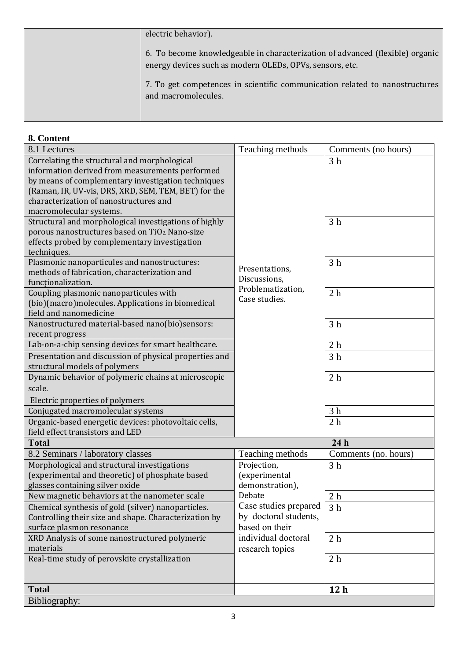| electric behavior).                                                                                                                       |
|-------------------------------------------------------------------------------------------------------------------------------------------|
| 6. To become knowledgeable in characterization of advanced (flexible) organic<br>energy devices such as modern OLEDs, OPVs, sensors, etc. |
| 7. To get competences in scientific communication related to nanostructures<br>and macromolecules.                                        |

| 8. Content                                                                                                                                                                                                                                                                         |                                                                  |                      |
|------------------------------------------------------------------------------------------------------------------------------------------------------------------------------------------------------------------------------------------------------------------------------------|------------------------------------------------------------------|----------------------|
| 8.1 Lectures                                                                                                                                                                                                                                                                       | Teaching methods                                                 | Comments (no hours)  |
| Correlating the structural and morphological<br>information derived from measurements performed<br>by means of complementary investigation techniques<br>(Raman, IR, UV-vis, DRS, XRD, SEM, TEM, BET) for the<br>characterization of nanostructures and<br>macromolecular systems. |                                                                  | 3 <sub>h</sub>       |
| Structural and morphological investigations of highly<br>porous nanostructures based on TiO <sub>2</sub> Nano-size<br>effects probed by complementary investigation<br>techniques.                                                                                                 |                                                                  | 3 <sub>h</sub>       |
| Plasmonic nanoparticules and nanostructures:<br>methods of fabrication, characterization and<br>functionalization.                                                                                                                                                                 | Presentations,<br>Discussions,                                   | 3 <sub>h</sub>       |
| Coupling plasmonic nanoparticules with<br>(bio)(macro)molecules. Applications in biomedical<br>field and nanomedicine                                                                                                                                                              | Problematization,<br>Case studies.                               | 2 <sub>h</sub>       |
| Nanostructured material-based nano(bio)sensors:<br>recent progress                                                                                                                                                                                                                 |                                                                  | 3 <sub>h</sub>       |
| Lab-on-a-chip sensing devices for smart healthcare.                                                                                                                                                                                                                                |                                                                  | 2 <sub>h</sub>       |
| Presentation and discussion of physical properties and<br>structural models of polymers                                                                                                                                                                                            |                                                                  | 3 <sub>h</sub>       |
| Dynamic behavior of polymeric chains at microscopic                                                                                                                                                                                                                                |                                                                  | 2 <sub>h</sub>       |
| scale.                                                                                                                                                                                                                                                                             |                                                                  |                      |
| Electric properties of polymers                                                                                                                                                                                                                                                    |                                                                  |                      |
| Conjugated macromolecular systems                                                                                                                                                                                                                                                  |                                                                  | 3 <sub>h</sub>       |
| Organic-based energetic devices: photovoltaic cells,<br>field effect transistors and LED                                                                                                                                                                                           |                                                                  | 2 <sub>h</sub>       |
| <b>Total</b>                                                                                                                                                                                                                                                                       |                                                                  | 24 <sub>h</sub>      |
| 8.2 Seminars / laboratory classes                                                                                                                                                                                                                                                  | Teaching methods                                                 | Comments (no. hours) |
| Morphological and structural investigations<br>(experimental and theoretic) of phosphate based<br>glasses containing silver oxide                                                                                                                                                  | Projection,<br>(experimental<br>demonstration),                  | 3 <sub>h</sub>       |
| New magnetic behaviors at the nanometer scale                                                                                                                                                                                                                                      | Debate                                                           | 2 <sub>h</sub>       |
| Chemical synthesis of gold (silver) nanoparticles.<br>Controlling their size and shape. Characterization by<br>surface plasmon resonance                                                                                                                                           | Case studies prepared<br>by doctoral students,<br>based on their | 3 <sub>h</sub>       |
| XRD Analysis of some nanostructured polymeric<br>materials                                                                                                                                                                                                                         | individual doctoral<br>research topics                           | 2 <sub>h</sub>       |
| Real-time study of perovskite crystallization                                                                                                                                                                                                                                      |                                                                  | 2 <sub>h</sub>       |
| <b>Total</b>                                                                                                                                                                                                                                                                       |                                                                  | 12 <sub>h</sub>      |
|                                                                                                                                                                                                                                                                                    |                                                                  |                      |